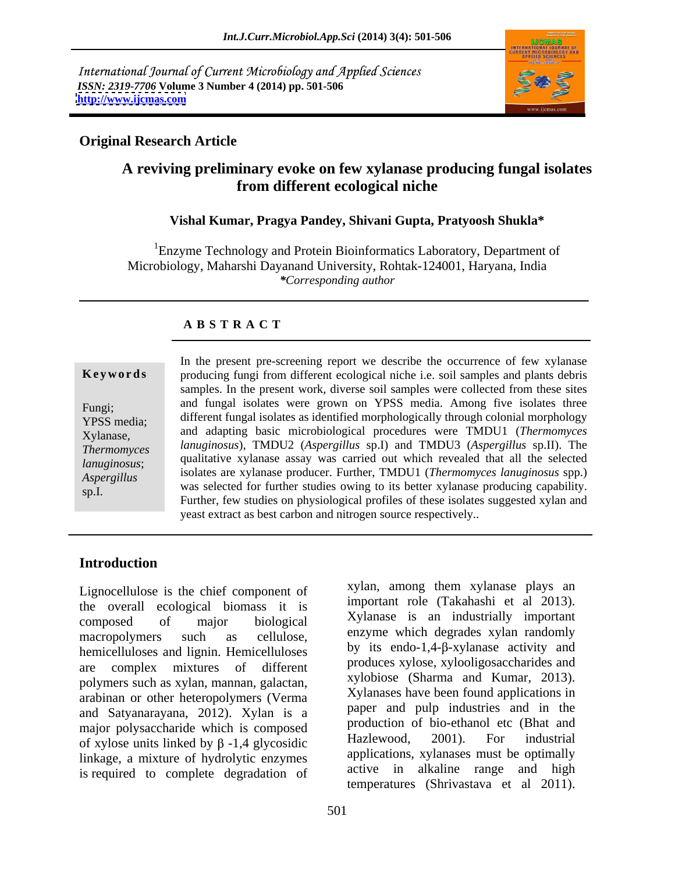International Journal of Current Microbiology and Applied Sciences *ISSN: 2319-7706* **Volume 3 Number 4 (2014) pp. 501-506 <http://www.ijcmas.com>**



### **Original Research Article**

# **A reviving preliminary evoke on few xylanase producing fungal isolates from different ecological niche**

#### **Vishal Kumar, Pragya Pandey, Shivani Gupta, Pratyoosh Shukla\***

<sup>1</sup>Enzyme Technology and Protein Bioinformatics Laboratory, Department of Microbiology, Maharshi Dayanand University, Rohtak-124001, Haryana, India *\*Corresponding author*

### **A B S T R A C T**

**Keywords** producing fungi from different ecological niche i.e. soil samples and plants debris Fungi; and fungal isolates were grown on YPSS media. Among five isolates three YPSS media; different fungal isolates as identified morphologically through colonial morphology<br>
The CH of the CH of the CH of the CH of the CH of the CH of the CH of the CH of the CH of the CH of the CH of Xylanase, and adapting basic microbiological procedures were TMDU1 (*Thermomyces Thermomyces lanuginosus*), TMDU2 (*Aspergillus* sp.I) and TMDU3 (*Aspergillus* sp.II). The *lanuginosus*; qualitative xylanase assay was carried out which revealed that all the selected qualitative xylanase assay was carried out which revealed that all the selected *Aspergillus* isolates are xylanase producer. Further, TMDU1 (*Thermomyces lanuginosus* spp.) **Solution In the present pre-screening report we describe the occurrence of few xylanase<br>
producing fungi from different ecological niche i.e. soil samples and plants debris<br>
samples. In the present work, diverse soil samp** samples. In the present work, diverse soil samples were collected from these sites was selected for further studies owing to its better xylanase producing capability. Further, few studies on physiological profiles of these isolates suggested xylan and yeast extract as best carbon and nitrogen source respectively..

### **Introduction**

Lignocellulose is the chief component of the sylan, among them xylanase plays and the overall ecological biomeses it is important role (Takahashi et al. 2013). the overall ecological biomass it is composed of major biological Xylanase is an industrially important macropolymers such as cellulose, enzyme which degrades xylan randomly hemicelluloses and lignin. Hemicelluloses are complex mixtures of different polymers such as xylan, mannan, galactan, arabinan or other heteropolymers (Verma and Satyanarayana, 2012). Xylan is a major polysaccharide which is composed<br>of vyloge units linked by  $\beta$ , 1.4 clynosidie and Hazlewood, 2001). For industrial of xylose units linked by  $\beta$  -1,4 glycosidic linkage, a mixture of hydrolytic enzymes is required to complete degradation of

xylan, among them xylanase plays an important role (Takahashi et al 2013). Xylanase is an industrially important by its endo-1,4- $\beta$ -xylanase activity and produces xylose, xylooligosaccharides and xylobiose (Sharma and Kumar, 2013). Xylanases have been found applications in paper and pulp industries and in the production of bio-ethanol etc (Bhat and Hazlewood, 2001). For industrial applications, xylanases must be optimally active in alkaline range and high temperatures (Shrivastava et al 2011).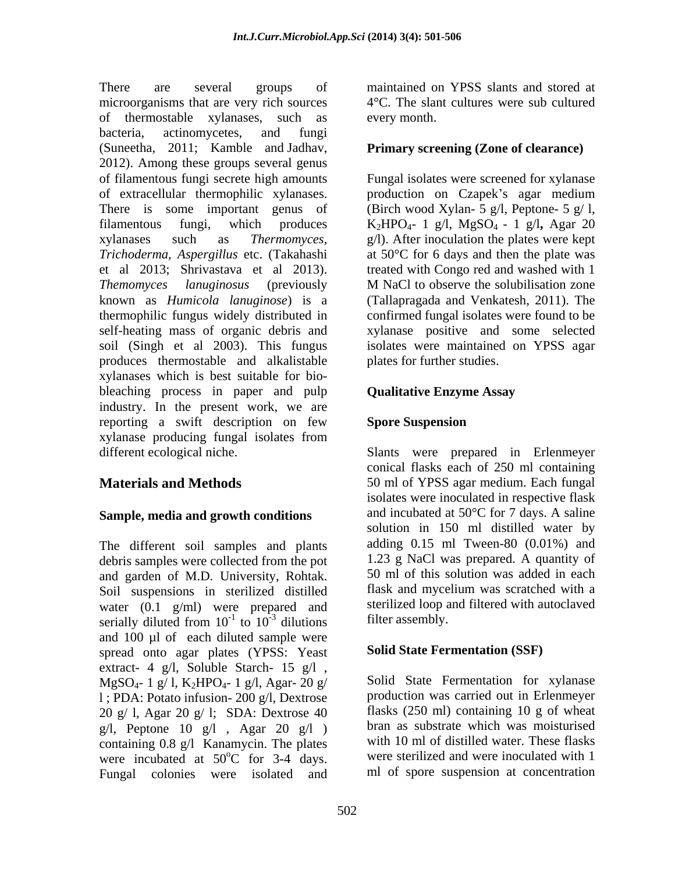There are several groups of maintained on YPSS slants and stored at microorganisms that are very rich sources of thermostable xylanases, such as bacteria, actinomycetes, and fungi (Suneetha, 2011; Kamble and Jadhav, 2012). Among these groups several genus of filamentous fungi secrete high amounts Fungal isolates were screened for xylanase of extracellular thermophilic xylanases. <br>
production on Czapek's agar medium There is some important genus of (Birch wood Xylan- 5 g/l, Peptone- 5 g/l, filamentous fungi, which produces K2HPO4- 1 g/l, MgSO4 - 1 g/l**,** Agar 20 xylanases such as *Thermomyces,*  g/l). After inoculation the plates were kept *Trichoderma, Aspergillus* etc. (Takahashi at 50°C for 6 days and then the plate was et al 2013; Shrivastava et al 2013). treated with Congo red and washed with 1 *Themomyces lanuginosus* (previously known as *Humicola lanuginose*) is a (Tallapragada and Venkatesh, 2011). The thermophilic fungus widely distributed in confirmed fungal isolates were found to be self-heating mass of organic debris and xylanase positive and some selected soil (Singh et al 2003). This fungus isolates were maintained on YPSS agar produces thermostable and alkalistable xylanases which is best suitable for bio bleaching process in paper and pulp industry. In the present work, we are reporting a swift description on few Spore Suspension xylanase producing fungal isolates from different ecological niche. Slants were prepared in Erlenmeyer

#### **Sample, media and growth conditions**

The different soil samples and plants debris samples were collected from the pot and garden of M.D. University, Rohtak. 50 ml of this solution was added in each<br>Soil suspensions in sterilized distilled flask and mycelium was scratched with a Soil suspensions in sterilized distilled water (0.1 g/ml) were prepared and serially diluted from  $10^{-1}$  to  $10^{-3}$  dilutions and 100 µl of each diluted sample were spread onto agar plates (YPSS: Yeast extract- 4 g/l, Soluble Starch- 15 g/l ,  $MgSO_{4}$ - 1 g/ l, K<sub>2</sub>HPO<sub>4</sub>- 1 g/l, Agar- 20 g/ l ; PDA: Potato infusion- 200 g/l, Dextrose 20 g/ l, Agar 20 g/ l; SDA: Dextrose 40 g/l, Peptone 10 g/l, Agar 20 g/l) containing 0.8 g/l Kanamycin. The plates were incubated at  $50^{\circ}$ C for 3-4 days. Fungal colonies were isolated and

4°C. The slant cultures were sub cultured every month.

#### **Primary screening (Zone of clearance)**

M NaCl to observe the solubilisation zone plates for further studies.

### **Qualitative Enzyme Assay**

#### **Spore Suspension**

**Materials and Methods** 50 ml of YPSS agar medium. Each fungal  $^{-1}$  to  $10^{-3}$  dilutions filter assembly to  $10^{-3}$  dilutions filter assembly.  $\frac{1}{2}$  dilutions filter assembly dilutions filter assembly. conical flasks each of 250 ml containing isolates were inoculated in respective flask and incubated at 50°C for 7 days. A saline solution in 150 ml distilled water by adding 0.15 ml Tween-80 (0.01%) and 1.23 g NaCl was prepared. A quantity of 50 ml of this solution was added in each flask and mycelium was scratched with a sterilized loop and filtered with autoclaved filter assembly.

### **Solid State Fermentation (SSF)**

 $\rm{^{\circ}C}$  for 3-4 days. were sterilized and were inoculated with 1 Solid State Fermentation for xylanase production was carried out in Erlenmeyer flasks (250 ml) containing 10 g of wheat bran as substrate which was moisturised with 10 ml of distilled water. These flasks ml of spore suspension at concentration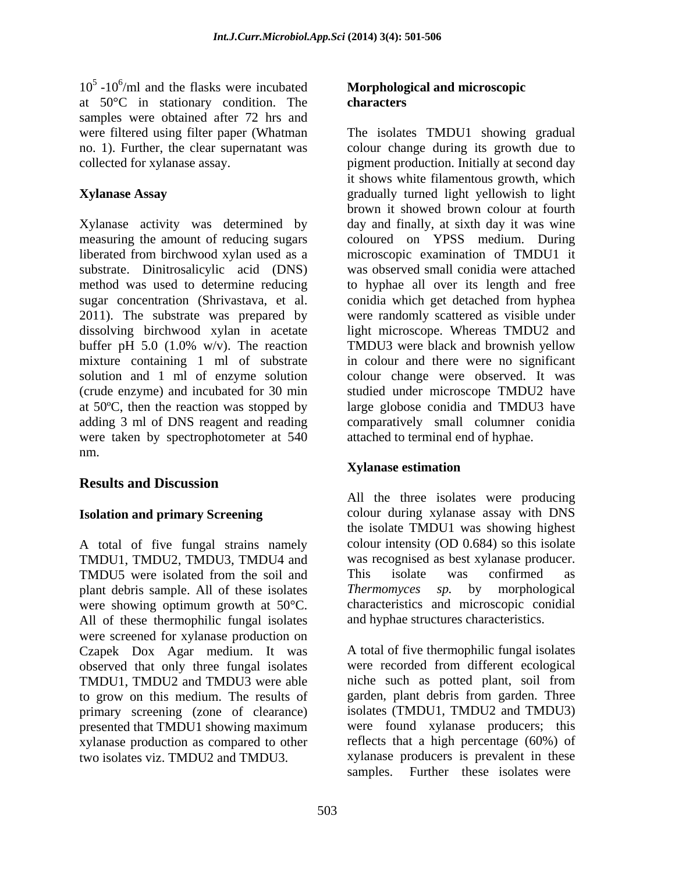$10<sup>5</sup>$  -10<sup>6</sup>/ml and the flasks were incubated /ml and the flasks were incubated **Morphological and microscopic**  at 50°C in stationary condition. The samples were obtained after 72 hrs and

Xylanase activity was determined by measuring the amount of reducing sugars coloured on YPSS medium. During liberated from birchwood xylan used as a substrate. Dinitrosalicylic acid (DNS) was observed small conidia were attached method was used to determine reducing to hyphae all over its length and free sugar concentration (Shrivastava, et al. conidia which get detached from hyphea 2011). The substrate was prepared by were randomly scattered as visible under dissolving birchwood xylan in acetate light microscope. Whereas TMDU2 and buffer pH 5.0 (1.0% w/v). The reaction TMDU3 were black and brownish yellow mixture containing 1 ml of substrate solution and 1 ml of enzyme solution colour change were observed. It was (crude enzyme) and incubated for 30 min studied under microscope TMDU2 have at 50ºC, then the reaction was stopped by large globose conidia and TMDU3 have adding 3 ml of DNS reagent and reading were taken by spectrophotometer at 540 nm.

# **Results and Discussion**

A total of five fungal strains namely TMDU1, TMDU2, TMDU3, TMDU4 and was recognised as best xylanase producer. TMDU5 were isolated from the soil and This isolate was confirmed as plant debris sample. All of these isolates Thermomyces sp. by morphological were showing optimum growth at 50°C. All of these thermophilic fungal isolates were screened for xylanase production on Czapek Dox Agar medium. It was observed that only three fungal isolates were recorded from different ecological TMDU1. TMDU2 and TMDU3 were able inche such as potted plant, soil from TMDU1, TMDU2 and TMDU3 were able to grow on this medium. The results of primary screening (zone of clearance) presented that TMDU1 showing maximum xylanase production as compared to other two isolates viz. TMDU2 and TMDU3. xylanase producers is prevalent in these

# **characters**

were filtered using filter paper (Whatman The isolates TMDU1 showing gradual no. 1). Further, the clear supernatant was colour change during its growth due to collected for xylanase assay. pigment production. Initially at second day **Xylanase Assay** gradually turned light yellowish to light it shows white filamentous growth, which brown it showed brown colour at fourth day and finally, at sixth day it was wine microscopic examination of TMDU1 it in colour and there were no significant comparatively small columner conidia attached to terminal end of hyphae.

### **Xylanase estimation**

**Isolation and primary Screening** colour during xylanase assay with DNS All the three isolates were producing the isolate TMDU1 was showing highest colour intensity (OD 0.684) so this isolate This isolate was confirmed as *Thermomyces sp.* by morphological characteristics and microscopic conidial and hyphae structures characteristics.

> A total of five thermophilic fungal isolates were recorded from different ecological niche such as potted plant, soil from garden, plant debris from garden. Three isolates (TMDU1, TMDU2 and TMDU3) were found xylanase producers; this reflects that a high percentage (60%) of samples. Further these isolates were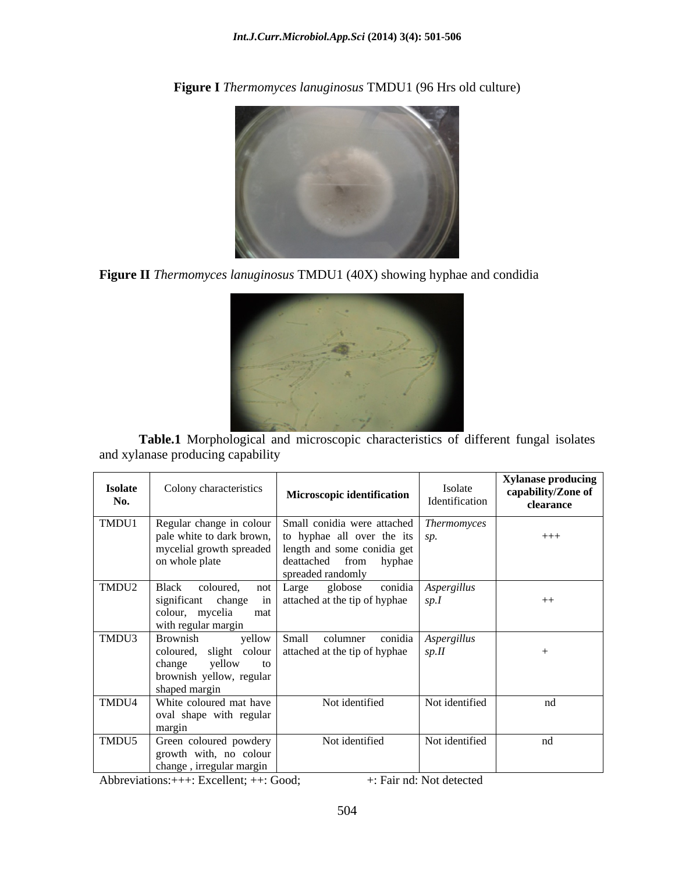

**Figure I** *Thermomyces lanuginosus* TMDU1 (96 Hrs old culture)

**Figure II** *Thermomyces lanuginosus* TMDU1 (40X) showing hyphae and condidia



**Table.1** Morphological and microscopic characteristics of different fungal isolates and xylanase producing capability

| <b>Isolate</b><br>No. | Colony characteristics                                                                            | <b>Microscopic identification</b>                                                                                                                                                                                                                | Isolate<br>Identification | <b>Xylanase producing</b><br>capability/Zone of<br>clearance |
|-----------------------|---------------------------------------------------------------------------------------------------|--------------------------------------------------------------------------------------------------------------------------------------------------------------------------------------------------------------------------------------------------|---------------------------|--------------------------------------------------------------|
| TMDU1                 | on whole plate                                                                                    | Regular change in colour Small conidia were attached Thermomyces<br>  pale white to dark brown,   to hyphae all over the its $ sp.$<br>  mycelial growth spreaded   length and some conidia get  <br>deattached from hyphae<br>spreaded randomly |                           | $+++$                                                        |
|                       | TMDU2   Black coloured,<br>change<br>significant<br>colour, mycelia<br>mat<br>with regular margin | not Large globose conidia Aspergillus<br>in attached at the tip of hyphae $ sp.I$                                                                                                                                                                |                           | $++$                                                         |
| TMDU3 Brownish        | change<br>yellow<br>to to<br>brownish yellow, regular<br>shaped margin                            | yellow Small columner conidia Aspergillus<br>coloured, slight colour attached at the tip of hyphae $\int$ sp.II                                                                                                                                  |                           |                                                              |
|                       | TMDU4   White coloured mat have<br>oval shape with regular<br>margin                              | Not identified                                                                                                                                                                                                                                   | Not identified            | nd                                                           |
|                       | TMDU5 Green coloured powdery<br>growth with, no colour<br>change, irregular margin                | Not identified                                                                                                                                                                                                                                   | Not identified            | nd                                                           |

Abbreviations: + + +: Excellent; + +: Good; +: Fair nd: Not detected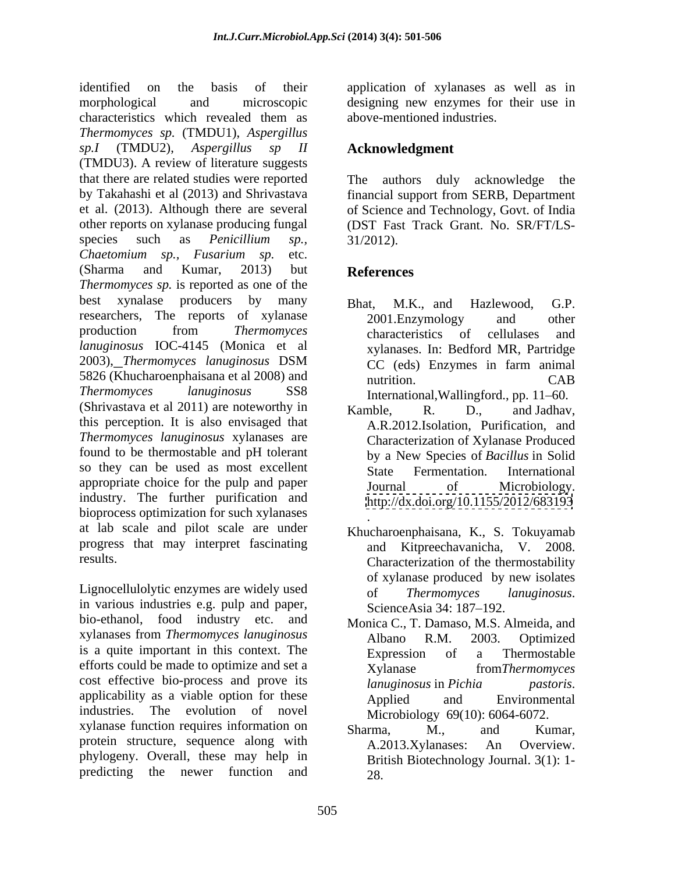identified on the basis of their application of xylanases as well as in morphological and microscopic designing new enzymes for their use in characteristics which revealed them as *Thermomyces sp.* (TMDU1), *Aspergillus sp.I* (TMDU2), *Aspergillus sp II* (TMDU3). A review of literature suggests that there are related studies were reported by Takahashi et al (2013) and Shrivastava et al. (2013). Although there are several of Science and Technology, Govt. of India other reports on xylanase producing fungal (DST Fast Track Grant. No. SR/FT/LS species such as *Penicillium sp., Chaetomium sp., Fusarium sp.* etc. (Sharma and Kumar, 2013) but **References** *Thermomyces sp.* is reported as one of the best xynalase producers by many Bhat, M.K., and Hazlewood, G.P. researchers, The reports of xylanase 2001. Enzymology and other production from *Thermomyces lanuginosus* IOC-4145 (Monica et al 2003), *Thermomyces lanuginosus* DSM 5826 (Khucharoenphaisana et al 2008) and mutrition. CAB *Thermomyces lanuginosus* SS8 International,Wallingford., pp. 11–60. (Shrivastava et al 2011) are noteworthy in  $\mu$  and  $\mu$  and  $\mu$  and Jadhav. this perception. It is also envisaged that *Thermomyces lanuginosus* xylanases are found to be thermostable and pH tolerant<br>by a New Species of Bacillus in Solid so they can be used as most excellent State Fermentation. International appropriate choice for the pulp and paper **but is a set of the pulp and paper** such as a set of Microbiology. industry. The further purification and bioprocess optimization for such xylanases at lab scale and pilot scale are under progress that may interpret fascinating

Lignocellulolytic enzymes are widely used<br>of *Thermomyces lanuginosus*. in various industries e.g. pulp and paper, bio-ethanol, food industry etc. and xylanases from *Thermomyces lanuginosus* is a quite important in this context. The Expression of a Thermostable efforts could be made to optimize and set a<br>
Xylanase from Thermomyces cost effective bio-process and prove its lanuginosus in Pichia pastoris. applicability as a viable option for these **Applied** and Environmental industries. The evolution of novel Microbiology 69(10): 6064-6072. xylanase function requires information on Sharma, M., and Kumar, protein structure, sequence along with A.2013.Xylanases: An Overview. phylogeny. Overall, these may help in predicting the newer function and

above-mentioned industries.

## **Acknowledgment**

The authors duly acknowledge the financial support from SERB, Department 31/2012).

# **References**

- Bhat, M.K., and Hazlewood, G.P. 2001.Enzymology and other characteristics of cellulases and xylanases. In: Bedford MR, Partridge CC (eds) Enzymes in farm animal nutrition. CAB
- Kamble, R. D., and Jadhav, A.R.2012.Isolation, Purification, and Characterization of Xylanase Produced by a New Species of *Bacillus* in Solid State Fermentation. International Journal of Microbiology. <http://dx.doi.org/10.1155/2012/683193>
- results. Characterization of the thermostability . Khucharoenphaisana, K., S. Tokuyamab and Kitpreechavanicha, V. 2008. of xylanase produced by new isolates of *Thermomyces lanuginosus*. ScienceAsia 34: 187 192.
	- Monica C., T. Damaso, M.S. Almeida, and Albano R.M. 2003. Optimized Expression of a Thermostable Xylanase from*Thermomyces lanuginosus* in *Pichia pastoris*. Applied and Environmental
	- Sharma, M., and Kumar, A.2013.Xylanases: An Overview. British Biotechnology Journal. 3(1): 1- 28.